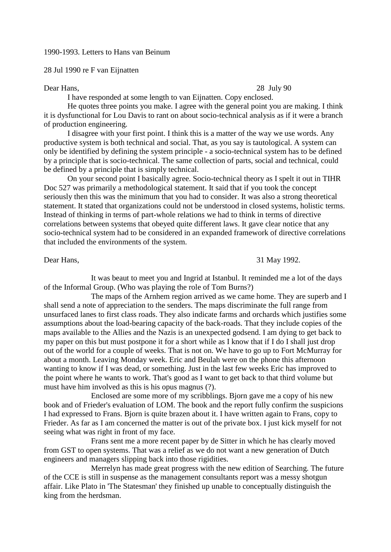## 1990-1993. Letters to Hans van Beinum

28 Jul 1990 re F van Eijnatten

## Dear Hans, 28 July 90

I have responded at some length to van Eijnatten. Copy enclosed.

He quotes three points you make. I agree with the general point you are making. I think it is dysfunctional for Lou Davis to rant on about socio-technical analysis as if it were a branch of production engineering.

I disagree with your first point. I think this is a matter of the way we use words. Any productive system is both technical and social. That, as you say is tautological. A system can only be identified by defining the system principle - a socio-technical system has to be defined by a principle that is socio-technical. The same collection of parts, social and technical, could be defined by a principle that is simply technical.

On your second point I basically agree. Socio-technical theory as I spelt it out in TIHR Doc 527 was primarily a methodological statement. It said that if you took the concept seriously then this was the minimum that you had to consider. It was also a strong theoretical statement. It stated that organizations could not be understood in closed systems, holistic terms. Instead of thinking in terms of part-whole relations we had to think in terms of directive correlations between systems that obeyed quite different laws. It gave clear notice that any socio-technical system had to be considered in an expanded framework of directive correlations that included the environments of the system.

## Dear Hans, 31 May 1992.

It was beaut to meet you and Ingrid at Istanbul. It reminded me a lot of the days of the Informal Group. (Who was playing the role of Tom Burns?)

The maps of the Arnhem region arrived as we came home. They are superb and I shall send a note of appreciation to the senders. The maps discriminate the full range from unsurfaced lanes to first class roads. They also indicate farms and orchards which justifies some assumptions about the load-bearing capacity of the back-roads. That they include copies of the maps available to the Allies and the Nazis is an unexpected godsend. I am dying to get back to my paper on this but must postpone it for a short while as I know that if I do I shall just drop out of the world for a couple of weeks. That is not on. We have to go up to Fort McMurray for about a month. Leaving Monday week. Eric and Beulah were on the phone this afternoon wanting to know if I was dead, or something. Just in the last few weeks Eric has improved to the point where he wants to work. That's good as I want to get back to that third volume but must have him involved as this is his opus magnus (?).

Enclosed are some more of my scribblings. Bjorn gave me a copy of his new book and of Frieder's evaluation of LOM. The book and the report fully confirm the suspicions I had expressed to Frans. Bjorn is quite brazen about it. I have written again to Frans, copy to Frieder. As far as I am concerned the matter is out of the private box. I just kick myself for not seeing what was right in front of my face.

Frans sent me a more recent paper by de Sitter in which he has clearly moved from GST to open systems. That was a relief as we do not want a new generation of Dutch engineers and managers slipping back into those rigidities.

Merrelyn has made great progress with the new edition of Searching. The future of the CCE is still in suspense as the management consultants report was a messy shotgun affair. Like Plato in 'The Statesman' they finished up unable to conceptually distinguish the king from the herdsman.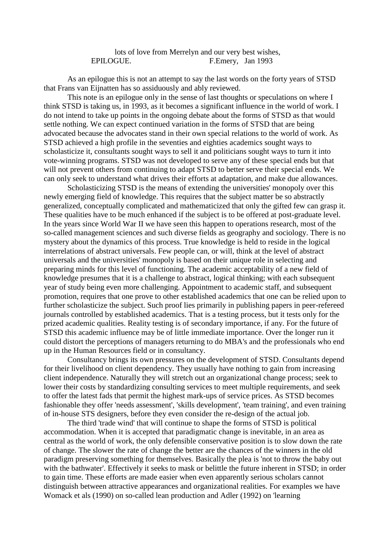## lots of love from Merrelyn and our very best wishes, EPILOGUE. F.Emery, Jan 1993

As an epilogue this is not an attempt to say the last words on the forty years of STSD that Frans van Eijnatten has so assiduously and ably reviewed.

This note is an epilogue only in the sense of last thoughts or speculations on where I think STSD is taking us, in 1993, as it becomes a significant influence in the world of work. I do not intend to take up points in the ongoing debate about the forms of STSD as that would settle nothing. We can expect continued variation in the forms of STSD that are being advocated because the advocates stand in their own special relations to the world of work. As STSD achieved a high profile in the seventies and eighties academics sought ways to scholasticize it, consultants sought ways to sell it and politicians sought ways to turn it into vote-winning programs. STSD was not developed to serve any of these special ends but that will not prevent others from continuing to adapt STSD to better serve their special ends. We can only seek to understand what drives their efforts at adaptation, and make due allowances.

Scholasticizing STSD is the means of extending the universities' monopoly over this newly emerging field of knowledge. This requires that the subject matter be so abstractly generalized, conceptually complicated and mathematicized that only the gifted few can grasp it. These qualities have to be much enhanced if the subject is to be offered at post-graduate level. In the years since World War II we have seen this happen to operations research, most of the so-called management sciences and such diverse fields as geography and sociology. There is no mystery about the dynamics of this process. True knowledge is held to reside in the logical interrelations of abstract universals. Few people can, or will, think at the level of abstract universals and the universities' monopoly is based on their unique role in selecting and preparing minds for this level of functioning. The academic acceptability of a new field of knowledge presumes that it is a challenge to abstract, logical thinking; with each subsequent year of study being even more challenging. Appointment to academic staff, and subsequent promotion, requires that one prove to other established academics that one can be relied upon to further scholasticize the subject. Such proof lies primarily in publishing papers in peer-refereed journals controlled by established academics. That is a testing process, but it tests only for the prized academic qualities. Reality testing is of secondary importance, if any. For the future of STSD this academic influence may be of little immediate importance. Over the longer run it could distort the perceptions of managers returning to do MBA's and the professionals who end up in the Human Resources field or in consultancy.

Consultancy brings its own pressures on the development of STSD. Consultants depend for their livelihood on client dependency. They usually have nothing to gain from increasing client independence. Naturally they will stretch out an organizational change process; seek to lower their costs by standardizing consulting services to meet multiple requirements, and seek to offer the latest fads that permit the highest mark-ups of service prices. As STSD becomes fashionable they offer 'needs assessment', 'skills development', 'team training', and even training of in-house STS designers, before they even consider the re-design of the actual job.

The third 'trade wind' that will continue to shape the forms of STSD is political accommodation. When it is accepted that paradigmatic change is inevitable, in an area as central as the world of work, the only defensible conservative position is to slow down the rate of change. The slower the rate of change the better are the chances of the winners in the old paradigm preserving something for themselves. Basically the plea is 'not to throw the baby out with the bathwater'. Effectively it seeks to mask or belittle the future inherent in STSD; in order to gain time. These efforts are made easier when even apparently serious scholars cannot distinguish between attractive appearances and organizational realities. For examples we have Womack et als (1990) on so-called lean production and Adler (1992) on 'learning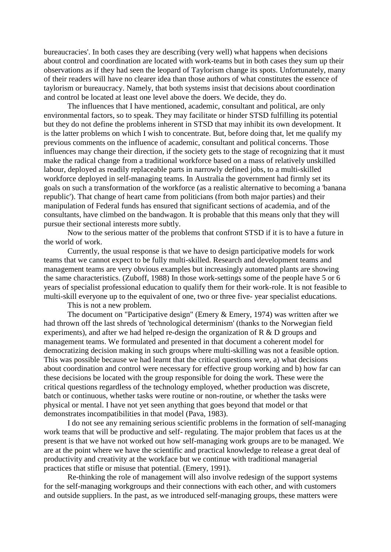bureaucracies'. In both cases they are describing (very well) what happens when decisions about control and coordination are located with work-teams but in both cases they sum up their observations as if they had seen the leopard of Taylorism change its spots. Unfortunately, many of their readers will have no clearer idea than those authors of what constitutes the essence of taylorism or bureaucracy. Namely, that both systems insist that decisions about coordination and control be located at least one level above the doers. We decide, they do.

The influences that I have mentioned, academic, consultant and political, are only environmental factors, so to speak. They may facilitate or hinder STSD fulfilling its potential but they do not define the problems inherent in STSD that may inhibit its own development. It is the latter problems on which I wish to concentrate. But, before doing that, let me qualify my previous comments on the influence of academic, consultant and political concerns. Those influences may change their direction, if the society gets to the stage of recognizing that it must make the radical change from a traditional workforce based on a mass of relatively unskilled labour, deployed as readily replaceable parts in narrowly defined jobs, to a multi-skilled workforce deployed in self-managing teams. In Australia the government had firmly set its goals on such a transformation of the workforce (as a realistic alternative to becoming a 'banana republic'). That change of heart came from politicians (from both major parties) and their manipulation of Federal funds has ensured that significant sections of academia, and of the consultants, have climbed on the bandwagon. It is probable that this means only that they will pursue their sectional interests more subtly.

Now to the serious matter of the problems that confront STSD if it is to have a future in the world of work.

Currently, the usual response is that we have to design participative models for work teams that we cannot expect to be fully multi-skilled. Research and development teams and management teams are very obvious examples but increasingly automated plants are showing the same characteristics. (Zuboff, 1988) In those work-settings some of the people have 5 or 6 years of specialist professional education to qualify them for their work-role. It is not feasible to multi-skill everyone up to the equivalent of one, two or three five- year specialist educations.

This is not a new problem.

The document on "Participative design" (Emery & Emery, 1974) was written after we had thrown off the last shreds of 'technological determinism' (thanks to the Norwegian field experiments), and after we had helped re-design the organization of R & D groups and management teams. We formulated and presented in that document a coherent model for democratizing decision making in such groups where multi-skilling was not a feasible option. This was possible because we had learnt that the critical questions were, a) what decisions about coordination and control were necessary for effective group working and b) how far can these decisions be located with the group responsible for doing the work. These were the critical questions regardless of the technology employed, whether production was discrete, batch or continuous, whether tasks were routine or non-routine, or whether the tasks were physical or mental. I have not yet seen anything that goes beyond that model or that demonstrates incompatibilities in that model (Pava, 1983).

I do not see any remaining serious scientific problems in the formation of self-managing work teams that will be productive and self- regulating. The major problem that faces us at the present is that we have not worked out how self-managing work groups are to be managed. We are at the point where we have the scientific and practical knowledge to release a great deal of productivity and creativity at the workface but we continue with traditional managerial practices that stifle or misuse that potential. (Emery, 1991).

Re-thinking the role of management will also involve redesign of the support systems for the self-managing workgroups and their connections with each other, and with customers and outside suppliers. In the past, as we introduced self-managing groups, these matters were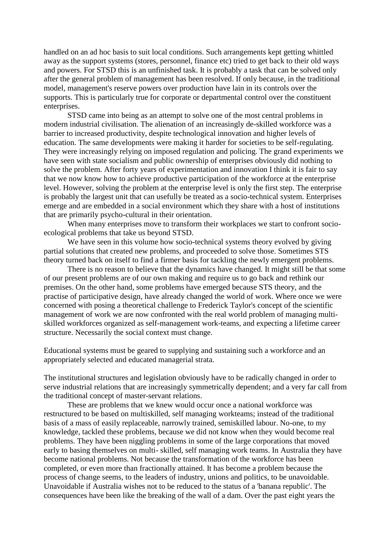handled on an ad hoc basis to suit local conditions. Such arrangements kept getting whittled away as the support systems (stores, personnel, finance etc) tried to get back to their old ways and powers. For STSD this is an unfinished task. It is probably a task that can be solved only after the general problem of management has been resolved. If only because, in the traditional model, management's reserve powers over production have lain in its controls over the supports. This is particularly true for corporate or departmental control over the constituent enterprises.

STSD came into being as an attempt to solve one of the most central problems in modern industrial civilisation. The alienation of an increasingly de-skilled workforce was a barrier to increased productivity, despite technological innovation and higher levels of education. The same developments were making it harder for societies to be self-regulating. They were increasingly relying on imposed regulation and policing. The grand experiments we have seen with state socialism and public ownership of enterprises obviously did nothing to solve the problem. After forty years of experimentation and innovation I think it is fair to say that we now know how to achieve productive participation of the workforce at the enterprise level. However, solving the problem at the enterprise level is only the first step. The enterprise is probably the largest unit that can usefully be treated as a socio-technical system. Enterprises emerge and are embedded in a social environment which they share with a host of institutions that are primarily psycho-cultural in their orientation.

When many enterprises move to transform their workplaces we start to confront socioecological problems that take us beyond STSD.

We have seen in this volume how socio-technical systems theory evolved by giving partial solutions that created new problems, and proceeded to solve those. Sometimes STS theory turned back on itself to find a firmer basis for tackling the newly emergent problems.

There is no reason to believe that the dynamics have changed. It might still be that some of our present problems are of our own making and require us to go back and rethink our premises. On the other hand, some problems have emerged because STS theory, and the practise of participative design, have already changed the world of work. Where once we were concerned with posing a theoretical challenge to Frederick Taylor's concept of the scientific management of work we are now confronted with the real world problem of managing multiskilled workforces organized as self-management work-teams, and expecting a lifetime career structure. Necessarily the social context must change.

Educational systems must be geared to supplying and sustaining such a workforce and an appropriately selected and educated managerial strata.

The institutional structures and legislation obviously have to be radically changed in order to serve industrial relations that are increasingly symmetrically dependent; and a very far call from the traditional concept of master-servant relations.

These are problems that we knew would occur once a national workforce was restructured to be based on multiskilled, self managing workteams; instead of the traditional basis of a mass of easily replaceable, narrowly trained, semiskilled labour. No-one, to my knowledge, tackled these problems, because we did not know when they would become real problems. They have been niggling problems in some of the large corporations that moved early to basing themselves on multi- skilled, self managing work teams. In Australia they have become national problems. Not because the transformation of the workforce has been completed, or even more than fractionally attained. It has become a problem because the process of change seems, to the leaders of industry, unions and politics, to be unavoidable. Unavoidable if Australia wishes not to be reduced to the status of a 'banana republic'. The consequences have been like the breaking of the wall of a dam. Over the past eight years the